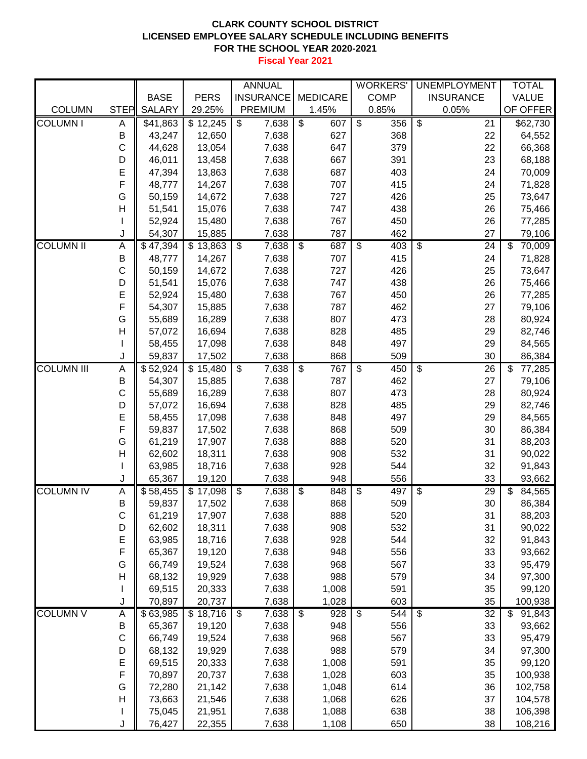## **CLARK COUNTY SCHOOL DISTRICT LICENSED EMPLOYEE SALARY SCHEDULE INCLUDING BENEFITS FOR THE SCHOOL YEAR 2020-2021**

**Fiscal Year 2021**

|                   |              |                  |                  | <b>ANNUAL</b>                     |                                  | <b>WORKERS</b>                 | <b>UNEMPLOYMENT</b>                         | <b>TOTAL</b>                       |
|-------------------|--------------|------------------|------------------|-----------------------------------|----------------------------------|--------------------------------|---------------------------------------------|------------------------------------|
|                   |              | <b>BASE</b>      | <b>PERS</b>      | <b>INSURANCE</b>                  | <b>MEDICARE</b>                  | <b>COMP</b>                    | <b>INSURANCE</b>                            | <b>VALUE</b>                       |
| <b>COLUMN</b>     | <b>STEP</b>  | <b>SALARY</b>    | 29.25%           | <b>PREMIUM</b>                    | 1.45%                            | 0.85%                          | 0.05%                                       | OF OFFER                           |
| <b>COLUMN I</b>   | Α            | \$41,863         | \$12,245         | $\overline{\mathcal{S}}$<br>7,638 | $\overline{\mathcal{S}}$<br>607  | s)<br>356                      | $\overline{\mathcal{S}}$<br>$\overline{21}$ | \$62,730                           |
|                   | B            | 43,247           | 12,650           | 7,638                             | 627                              | 368                            | 22                                          | 64,552                             |
|                   | С            | 44,628           | 13,054           | 7,638                             | 647                              | 379                            | 22                                          | 66,368                             |
|                   | D            | 46,011           | 13,458           | 7,638                             | 667                              | 391                            | 23                                          | 68,188                             |
|                   | E            | 47,394           | 13,863           | 7,638                             | 687                              | 403                            | 24                                          | 70,009                             |
|                   | F            | 48,777           | 14,267           | 7,638                             | 707                              | 415                            | 24                                          | 71,828                             |
|                   | G            | 50,159           | 14,672           | 7,638                             | 727                              | 426                            | 25                                          | 73,647                             |
|                   | $\mathsf{H}$ | 51,541           | 15,076           | 7,638                             | 747                              | 438                            | 26                                          | 75,466                             |
|                   |              | 52,924           | 15,480           | 7,638                             | 767                              | 450                            | 26                                          | 77,285                             |
|                   | J            | 54,307           | 15,885           | 7,638                             | 787                              | 462                            | 27                                          | 79,106                             |
| <b>COLUMN II</b>  | A            | \$47,394         | \$13,863         | $\overline{\mathbf{s}}$<br>7,638  | 687<br>$\boldsymbol{\mathsf{S}}$ | $\overline{\mathbf{s}}$<br>403 | $\overline{\mathcal{S}}$<br>24              | $\overline{\mathbb{S}}$<br>70,009  |
|                   | Β            | 48,777           | 14,267           | 7,638                             | 707                              | 415                            | 24                                          | 71,828                             |
|                   | С            | 50,159           | 14,672           | 7,638                             | 727                              | 426                            | 25                                          | 73,647                             |
|                   | D            | 51,541           | 15,076           | 7,638                             | 747                              | 438                            | 26                                          | 75,466                             |
|                   | E            | 52,924           | 15,480           | 7,638                             | 767                              | 450                            | 26                                          | 77,285                             |
|                   | F            | 54,307           | 15,885           | 7,638                             | 787                              | 462                            | 27                                          | 79,106                             |
|                   | G            | 55,689           | 16,289           | 7,638                             | 807                              | 473                            | 28                                          | 80,924                             |
|                   | H            | 57,072           | 16,694           | 7,638                             | 828                              | 485                            | 29                                          | 82,746                             |
|                   |              | 58,455           | 17,098           | 7,638                             | 848                              | 497                            | 29                                          | 84,565                             |
|                   | J            | 59,837           | 17,502           | 7,638                             | 868                              | 509                            | 30                                          | 86,384                             |
| <b>COLUMN III</b> | A            | \$52,924         | \$15,480         | \$<br>7,638                       | \$<br>767                        | \$<br>450                      | \$<br>26                                    | \$<br>77,285                       |
|                   | B            | 54,307           | 15,885           | 7,638                             | 787<br>807                       | 462<br>473                     | 27                                          | 79,106                             |
|                   | С<br>D       | 55,689<br>57,072 | 16,289<br>16,694 | 7,638<br>7,638                    | 828                              | 485                            | 28<br>29                                    | 80,924<br>82,746                   |
|                   | E            | 58,455           | 17,098           | 7,638                             | 848                              | 497                            | 29                                          | 84,565                             |
|                   | F            | 59,837           | 17,502           | 7,638                             | 868                              | 509                            | 30                                          | 86,384                             |
|                   | G            | 61,219           | 17,907           | 7,638                             | 888                              | 520                            | 31                                          | 88,203                             |
|                   | Η            | 62,602           | 18,311           | 7,638                             | 908                              | 532                            | 31                                          | 90,022                             |
|                   |              | 63,985           | 18,716           | 7,638                             | 928                              | 544                            | 32                                          | 91,843                             |
|                   | J            | 65,367           | 19,120           | 7,638                             | 948                              | 556                            | 33                                          | 93,662                             |
| <b>COLUMN IV</b>  | A            | \$58,455         | \$17,098         | $\overline{\mathcal{S}}$<br>7,638 | $\overline{\mathcal{G}}$<br>848  | \$<br>497                      | $\overline{\mathcal{G}}$<br>29              | $\overline{\mathcal{S}}$<br>84,565 |
|                   | B            | 59,837           | 17,502           | 7,638                             | 868                              | 509                            | 30                                          | 86,384                             |
|                   | C            | 61,219           | 17,907           | 7,638                             | 888                              | 520                            | 31                                          | 88,203                             |
|                   | D            | 62,602           | 18,311           | 7,638                             | 908                              | 532                            | 31                                          | 90,022                             |
|                   | E            | 63,985           | 18,716           | 7,638                             | 928                              | 544                            | 32                                          | 91,843                             |
|                   | $\mathsf F$  | 65,367           | 19,120           | 7,638                             | 948                              | 556                            | 33                                          | 93,662                             |
|                   | G            | 66,749           | 19,524           | 7,638                             | 968                              | 567                            | 33                                          | 95,479                             |
|                   | H            | 68,132           | 19,929           | 7,638                             | 988                              | 579                            | 34                                          | 97,300                             |
|                   |              | 69,515           | 20,333           | 7,638                             | 1,008                            | 591                            | 35                                          | 99,120                             |
|                   | J            | 70,897           | 20,737           | 7,638                             | 1,028                            | 603                            | 35                                          | 100,938                            |
| <b>COLUMN V</b>   | A            | \$63,985         | \$18,716         | \$<br>7,638                       | $\boldsymbol{\theta}$<br>928     | $\overline{\mathbf{S}}$<br>544 | $\overline{\mathbf{S}}$<br>32               | $\mathfrak{S}$<br>91,843           |
|                   | B            | 65,367           | 19,120           | 7,638                             | 948                              | 556                            | 33                                          | 93,662                             |
|                   | $\mathsf C$  | 66,749           | 19,524           | 7,638                             | 968                              | 567                            | 33                                          | 95,479                             |
|                   | D            | 68,132           | 19,929           | 7,638                             | 988                              | 579                            | 34                                          | 97,300                             |
|                   | E            | 69,515           | 20,333           | 7,638                             | 1,008                            | 591                            | 35                                          | 99,120                             |
|                   | $\mathsf F$  | 70,897           | 20,737           | 7,638                             | 1,028                            | 603                            | 35                                          | 100,938                            |
|                   | G            | 72,280           | 21,142           | 7,638                             | 1,048                            | 614                            | 36                                          | 102,758                            |
|                   | H            | 73,663           | 21,546           | 7,638                             | 1,068                            | 626                            | 37                                          | 104,578                            |
|                   |              | 75,045           | 21,951           | 7,638                             | 1,088                            | 638                            | 38                                          | 106,398                            |
|                   | J            | 76,427           | 22,355           | 7,638                             | 1,108                            | 650                            | 38                                          | 108,216                            |